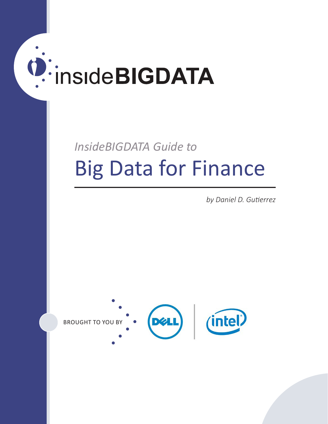# **D:** inside BIGDATA

# *InsideBIGDATA Guide to* Big Data for Finance

*by Daniel D. Gutierrez*

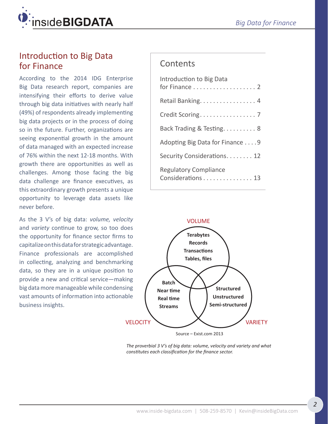

## Introduction to Big Data for Finance

According to the 2014 IDG Enterprise Big Data research report, companies are intensifying their efforts to derive value through big data initiatives with nearly half (49%) of respondents already implementing big data projects or in the process of doing so in the future. Further, organizations are seeing exponential growth in the amount of data managed with an expected increase of 76% within the next 12-18 months. With growth there are opportunities as well as challenges. Among those facing the big data challenge are finance executives, as this extraordinary growth presents a unique opportunity to leverage data assets like never before.

As the 3 V's of big data: *volume, velocity* and *variety* continue to grow, so too does the opportunity for finance sector firms to capitalize on this data for strategic advantage. Finance professionals are accomplished in collecting, analyzing and benchmarking data, so they are in a unique position to provide a new and critical service—making big data more manageable while condensing vast amounts of information into actionable business insights.

## **Contents**

| Introduction to Big Data                          |
|---------------------------------------------------|
| Retail Banking. 4                                 |
| Credit Scoring. 7                                 |
| Back Trading & Testing. 8                         |
| Adopting Big Data for Finance 9                   |
| Security Considerations. 12                       |
| <b>Regulatory Compliance</b><br>Considerations 13 |



Source – Exist.com 2013

*The proverbial 3 V's of big data: volume, velocity and variety and what constitutes each classification for the finance sector.*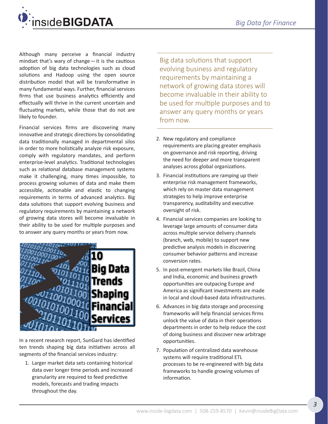

Although many perceive a financial industry mindset that's wary of change—it is the cautious adoption of big data technologies such as cloud solutions and Hadoop using the open source distribution model that will be transformative in many fundamental ways. Further, financial services firms that use business analytics efficiently and effectually will thrive in the current uncertain and fluctuating markets, while those that do not are likely to founder.

Financial services firms are discovering many innovative and strategic directions by consolidating data traditionally managed in departmental silos in order to more holistically analyze risk exposure, comply with regulatory mandates, and perform enterprise-level analytics. Traditional technologies such as relational database management systems make it challenging, many times impossible, to process growing volumes of data and make them accessible, actionable and elastic to changing requirements in terms of advanced analytics. Big data solutions that support evolving business and regulatory requirements by maintaining a network of growing data stores will become invaluable in their ability to be used for multiple purposes and to answer any query months or years from now.



In a recent research report, SunGard has identified ten trends shaping big data initiatives across all segments of the financial services industry:

1. Larger market data sets containing historical data over longer time periods and increased granularity are required to feed predictive models, forecasts and trading impacts throughout the day.

Big data solutions that support evolving business and regulatory requirements by maintaining a network of growing data stores will become invaluable in their ability to be used for multiple purposes and to answer any query months or years from now.

- 2. New regulatory and compliance requirements are placing greater emphasis on governance and risk reporting, driving the need for deeper and more transparent analyses across global organizations.
- 3. Financial institutions are ramping up their enterprise risk management frameworks, which rely on master data management strategies to help improve enterprise transparency, auditability and executive oversight of risk.
- 4. Financial services companies are looking to leverage large amounts of consumer data across multiple service delivery channels (branch, web, mobile) to support new predictive analysis models in discovering consumer behavior patterns and increase conversion rates.
- 5. In post-emergent markets like Brazil, China and India, economic and business growth opportunities are outpacing Europe and America as significant investments are made in local and cloud-based data infrastructures.
- 6. Advances in big data storage and processing frameworks will help financial services firms unlock the value of data in their operations departments in order to help reduce the cost of doing business and discover new arbitrage opportunities.
- 7. Population of centralized data warehouse systems will require traditional ETL processes to be re-engineered with big data frameworks to handle growing volumes of information.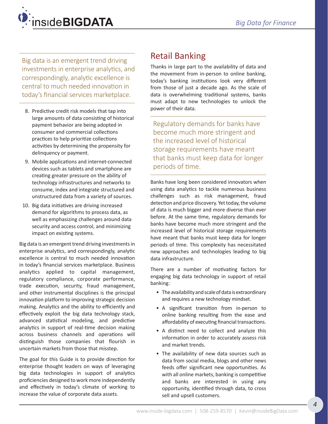<span id="page-3-0"></span>

Big data is an emergent trend driving investments in enterprise analytics, and correspondingly, analytic excellence is central to much needed innovation in today's financial services marketplace.

- 8. Predictive credit risk models that tap into large amounts of data consisting of historical payment behavior are being adopted in consumer and commercial collections practices to help prioritize collections activities by determining the propensity for delinquency or payment.
- 9. Mobile applications and internet-connected devices such as tablets and smartphone are creating greater pressure on the ability of technology infrastructures and networks to consume, index and integrate structured and unstructured data from a variety of sources.
- 10. Big data initiatives are driving increased demand for algorithms to process data, as well as emphasizing challenges around data security and access control, and minimizing impact on existing systems.

Big data is an emergent trend driving investments in enterprise analytics, and correspondingly, analytic excellence is central to much needed innovation in today's financial services marketplace. Business analytics applied to capital management, regulatory compliance, corporate performance, trade execution, security, fraud management, and other instrumental disciplines is the principal innovation platform to improving strategic decision making. Analytics and the ability to efficiently and effectively exploit the big data technology stack, advanced statistical modeling, and predictive analytics in support of real-time decision making across business channels and operations will distinguish those companies that flourish in uncertain markets from those that misstep.

The goal for this Guide is to provide direction for enterprise thought leaders on ways of leveraging big data technologies in support of analytics proficiencies designed to work more independently and effectively in today's climate of working to increase the value of corporate data assets.

# Retail Banking

Thanks in large part to the availability of data and the movement from in-person to online banking, today's banking institutions look very different from those of just a decade ago. As the scale of data is overwhelming traditional systems, banks must adapt to new technologies to unlock the power of their data.

Regulatory demands for banks have become much more stringent and the increased level of historical storage requirements have meant that banks must keep data for longer periods of time.

Banks have long been considered innovators when using data analytics to tackle numerous business challenges such as risk management, fraud detection and price discovery. Yet today, the volume of data is much bigger and more diverse than ever before. At the same time, regulatory demands for banks have become much more stringent and the increased level of historical storage requirements have meant that banks must keep data for longer periods of time. This complexity has necessitated new approaches and technologies leading to big data infrastructure.

There are a number of motivating factors for engaging big data technology in support of retail banking:

- The availability and scale of data is extraordinary and requires a new technology mindset.
- A significant transition from in-person to online banking resulting from the ease and affordability of executing financial transactions.
- A distinct need to collect and analyze this information in order to accurately assess risk and market trends.
- The availability of new data sources such as data from social media, blogs and other news feeds offer significant new opportunities. As with all online markets, banking is competitive and banks are interested in using any opportunity, identified through data, to cross sell and upsell customers.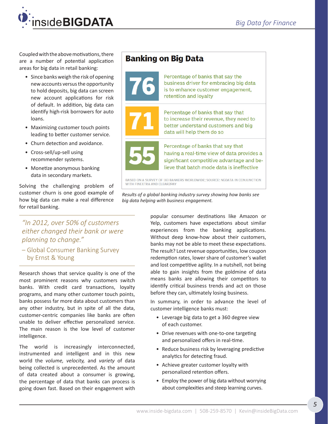

Coupled with the above motivations, there are a number of potential application areas for big data in retail banking:

- Since banks weigh the risk of opening new accounts versus the opportunity to hold deposits, big data can screen new account applications for risk of default. In addition, big data can identify high-risk borrowers for auto loans.
- Maximizing customer touch points leading to better customer service.
- Churn detection and avoidance.
- Cross-sell/up-sell using recommender systems.
- Monetize anonymous banking data in secondary markets.

Solving the challenging problem of customer churn is one good example of how big data can make a real difference for retail banking.

*"In 2012, over 50% of customers either changed their bank or were planning to change."*

– Global Consumer Banking Survey by Ernst & Young

Research shows that service quality is one of the most prominent reasons why customers switch banks. With credit card transactions, loyalty programs, and many other customer touch points, banks possess far more data about customers than any other industry, but in spite of all the data, customer-centric companies like banks are often unable to deliver effective personalized service. The main reason is the low level of customer intelligence.

The world is increasingly interconnected, instrumented and intelligent and in this new world the *volume, velocity,* and *variety* of data being collected is unprecedented. As the amount of data created about a consumer is growing, the percentage of data that banks can process is going down fast. Based on their engagement with

# **Banking on Big Data**



Percentage of banks that say the business driver for embracing big data is to enhance customer engagement, retention and loyalty



Percentage of banks that say that to increase their revenue, they need to better understand customers and big data will help them do so



Percentage of banks that say that having a real-time view of data provides a significant competitive advantage and believe that batch mode data is ineffective

BASED ON A SURVEY OF 183 BANKERS WORLDWIDE; SOURCE: NGDATA IN CONJUNCTION WITH FINEXTRA AND CLEAR2PAY

*Results of a global banking industry survey showing how banks see big data helping with business engagement.*

> popular consumer destinations like Amazon or Yelp, customers have expectations about similar experiences from the banking applications. Without deep know-how about their customers, banks may not be able to meet these expectations. The result? Lost revenue opportunities, low coupon redemption rates, lower share of customer's wallet and lost competitive agility. In a nutshell, not being able to gain insights from the goldmine of data means banks are allowing their competitors to identify critical business trends and act on those before they can, ultimately losing business.

> In summary, in order to advance the level of customer intelligence banks must:

- Leverage big data to get a 360 degree view of each customer.
- Drive revenues with one-to-one targeting and personalized offers in real-time.
- Reduce business risk by leveraging predictive analytics for detecting fraud.
- Achieve greater customer loyalty with personalized retention offers.
- Employ the power of big data without worrying about complexities and steep learning curves.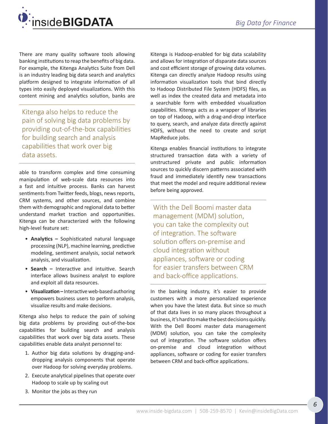

There are many quality software tools allowing banking institutions to reap the benefits of big data. For example, the Kitenga Analytics Suite from Dell is an industry leading big data search and analytics platform designed to integrate information of all types into easily deployed visualizations. With this content mining and analytics solution, banks are

Kitenga also helps to reduce the pain of solving big data problems by providing out-of-the-box capabilities for building search and analysis capabilities that work over big data assets.

able to transform complex and time consuming manipulation of web-scale data resources into a fast and intuitive process. Banks can harvest sentiments from Twitter feeds, blogs, news reports, CRM systems, and other sources, and combine them with demographic and regional data to better understand market traction and opportunities. Kitenga can be characterized with the following high-level feature set:

- **Analytics –** Sophisticated natural language processing (NLP), machine learning, predictive modeling, sentiment analysis, social network analysis, and visualization.
- **Search –** Interactive and intuitive. Search interface allows business analyst to explore and exploit all data resources.
- **Visualization –** Interactive web-based authoring empowers business users to perform analysis, visualize results and make decisions.

Kitenga also helps to reduce the pain of solving big data problems by providing out-of-the-box capabilities for building search and analysis capabilities that work over big data assets. These capabilities enable data analyst personnel to:

- 1. Author big data solutions by dragging-anddropping analysis components that operate over Hadoop for solving everyday problems.
- 2. Execute analytical pipelines that operate over Hadoop to scale up by scaling out
- 3. Monitor the jobs as they run

Kitenga is Hadoop-enabled for big data scalability and allows for integration of disparate data sources and cost efficient storage of growing data volumes. Kitenga can directly analyze Hadoop results using information visualization tools that bind directly to Hadoop Distributed File System (HDFS) files, as well as index the created data and metadata into a searchable form with embedded visualization capabilities. Kitenga acts as a wrapper of libraries on top of Hadoop, with a drag-and-drop interface to query, search, and analyze data directly against HDFS, without the need to create and script MapReduce jobs.

Kitenga enables financial institutions to integrate structured transaction data with a variety of unstructured private and public information sources to quickly discern patterns associated with fraud and immediately identify new transactions that meet the model and require additional review before being approved.

With the Dell Boomi master data management (MDM) solution, you can take the complexity out of integration. The software solution offers on-premise and cloud integration without appliances, software or coding for easier transfers between CRM and back-office applications.

In the banking industry, it's easier to provide customers with a more personalized experience when you have the latest data. But since so much of that data lives in so many places throughout a business, it's hard to make the best decisions quickly. With the Dell Boomi master data management (MDM) solution, you can take the complexity out of integration. The software solution offers on-premise and cloud integration without appliances, software or coding for easier transfers between CRM and back-office applications.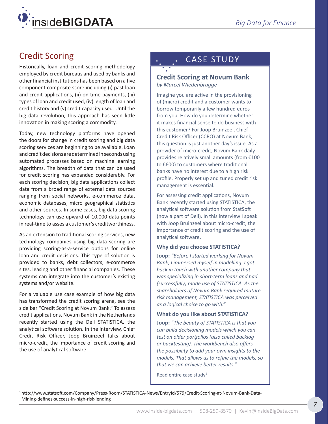<span id="page-6-0"></span>

# Credit Scoring

Historically, loan and credit scoring methodology employed by credit bureaus and used by banks and other financial institutions has been based on a five component composite score including (i) past loan and credit applications, (ii) on time payments, (iii) types of loan and credit used, (iv) length of loan and credit history and (v) credit capacity used. Until the big data revolution, this approach has seen little innovation in making scoring a commodity.

Today, new technology platforms have opened the doors for change in credit scoring and big data scoring services are beginning to be available. Loan and credit decisions are determined in seconds using automated processes based on machine learning algorithms. The breadth of data that can be used for credit scoring has expanded considerably. For each scoring decision, big data applications collect data from a broad range of external data sources ranging from social networks, e-commerce data, economic databases, micro geographical statistics and other sources. In some cases, big data scoring technology can use upward of 10,000 data points in real-time to asses a customer's creditworthiness.

As an extension to traditional scoring services, new technology companies using big data scoring are providing scoring-as-a-service options for online loan and credit decisions. This type of solution is provided to banks, debt collectors, e-commerce sites, leasing and other financial companies. These systems can integrate into the customer's existing systems and/or website.

For a valuable use case example of how big data has transformed the credit scoring arena, see the side bar "Credit Scoring at Novum Bank." To assess credit applications, Novum Bank in the Netherlands recently started using the Dell STATISTICA, the analytical software solution. In the interview, Chief Credit Risk Officer, Joop Bruinzeel talks about micro-credit, the importance of credit scoring and the use of analytical software.

# CASE STUDY

#### **Credit Scoring at Novum Bank** *by Marcel Wiedenbrugge*

Imagine you are active in the provisioning of (micro) credit and a customer wants to borrow temporarily a few hundred euros from you. How do you determine whether it makes financial sense to do business with this customer? For Joop Bruinzeel, Chief Credit Risk Officer (CCRO) at Novum Bank, this question is just another day's issue. As a provider of micro-credit, Novum Bank daily provides relatively small amounts (from €100 to €600) to customers where traditional banks have no interest due to a high risk profile. Properly set up and tuned credit risk management is essential.

For assessing credit applications, Novum Bank recently started using STATISTICA, the analytical software solution from StatSoft (now a part of Dell). In this interview I speak with Joop Bruinzeel about micro-credit, the importance of credit scoring and the use of analytical software.

#### **Why did you choose STATISTICA?**

**Joop:** *"Before I started working for Novum Bank, I immersed myself in modelling. I got back in touch with another company that was specializing in short-term loans and had (successfully) made use of STATISTICA. As the shareholders of Novum Bank required mature risk management, STATISTICA was perceived as a logical choice to go with."*

#### **What do you like about STATISTICA?**

**Joop:** *"The beauty of STATISTICA is that you can build decisioning models which you can test on older portfolios (also called backlog or backtesting). The workbench also offers the possibility to add your own insights to the models. That allows us to refine the models, so that we can achieve better results."*

[Read entire case study](http://www.statsoft.com/Company/Press-Room/STATISTICA-News/EntryId/579/Credit-Scoring-at-Novum-Bank-Data-Mining-defines-success-in-high-risk-lending) $1$ 

1 [http://www.statsoft.com/Company/Press-Room/STATISTICA-News/EntryId/579/Credit-Scoring-at-Novum-Bank-Data-](http://www.statsoft.com/Company/Press-Room/STATISTICA-News/EntryId/579/Credit-Scoring-at-Novum-Bank-Data-Mining-defines-success-in-high-risk-lending)[Mining-defines-success-in-high-risk-lending](http://www.statsoft.com/Company/Press-Room/STATISTICA-News/EntryId/579/Credit-Scoring-at-Novum-Bank-Data-Mining-defines-success-in-high-risk-lending)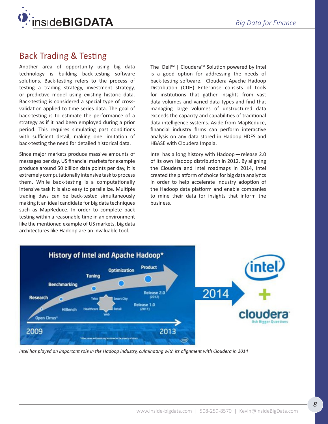<span id="page-7-0"></span>

# Back Trading & Testing

Another area of opportunity using big data technology is building back-testing software solutions. Back-testing refers to the process of testing a trading strategy, investment strategy, or predictive model using existing historic data. Back-testing is considered a special type of crossvalidation applied to time series data. The goal of back-testing is to estimate the performance of a strategy as if it had been employed during a prior period. This requires simulating past conditions with sufficient detail, making one limitation of back-testing the need for detailed historical data.

Since major markets produce massive amounts of messages per day, US financial markets for example produce around 50 billion data points per day, it is extremely computationally intensive task to process them. While back-testing is a computationally intensive task it is also easy to parallelize. Multiple trading days can be back-tested simultaneously making it an ideal candidate for big data techniques such as MapReduce. In order to complete back testing within a reasonable time in an environment like the mentioned example of US markets, big data architectures like Hadoop are an invaluable tool.

The Dell™ | Cloudera™ Solution powered by Intel is a good option for addressing the needs of back-testing software. Cloudera Apache Hadoop Distribution (CDH) Enterprise consists of tools for institutions that gather insights from vast data volumes and varied data types and find that managing large volumes of unstructured data exceeds the capacity and capabilities of traditional data intelligence systems. Aside from MapReduce, financial industry firms can perform interactive analysis on any data stored in Hadoop HDFS and HBASE with Cloudera Impala.

Intel has a long history with Hadoop—release 2.0 of its own Hadoop distribution in 2012. By aligning the Cloudera and Intel roadmaps in 2014, Intel created the platform of choice for big data analytics in order to help accelerate industry adoption of the Hadoop data platform and enable companies to mine their data for insights that inform the business.



*Intel has played an important role in the Hadoop industry, culminating with its alignment with Cloudera in 2014*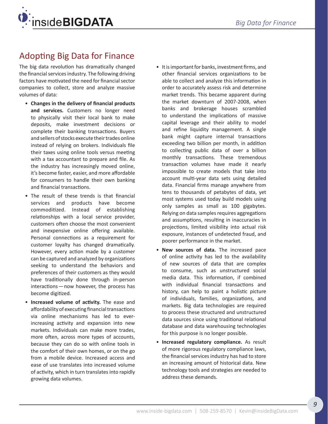<span id="page-8-0"></span>

# Adopting Big Data for Finance

The big data revolution has dramatically changed the financial services industry. The following driving factors have motivated the need for financial sector companies to collect, store and analyze massive volumes of data:

- **Changes in the delivery of financial products and services.** Customers no longer need to physically visit their local bank to make deposits, make investment decisions or complete their banking transactions. Buyers and sellers of stocks execute their trades online instead of relying on brokers. Individuals file their taxes using online tools versus meeting with a tax accountant to prepare and file. As the industry has increasingly moved online, it's become faster, easier, and more affordable for consumers to handle their own banking and financial transactions.
- The result of these trends is that financial services and products have become commoditized. Instead of establishing relationships with a local service provider, customers often choose the most convenient and inexpensive online offering available. Personal connections as a requirement for customer loyalty has changed dramatically. However, every action made by a customer can be captured and analyzed by organizations seeking to understand the behaviors and preferences of their customers as they would have traditionally done through in-person interactions—now however, the process has become digitized.
- **Increased volume of activity.** The ease and affordability of executing financial transactions via online mechanisms has led to everincreasing activity and expansion into new markets. Individuals can make more trades, more often, across more types of accounts, because they can do so with online tools in the comfort of their own homes, or on the go from a mobile device. Increased access and ease of use translates into increased volume of activity, which in turn translates into rapidly growing data volumes.
- It is important for banks, investment firms, and other financial services organizations to be able to collect and analyze this information in order to accurately assess risk and determine market trends. This became apparent during the market downturn of 2007-2008, when banks and brokerage houses scrambled to understand the implications of massive capital leverage and their ability to model and refine liquidity management. A single bank might capture internal transactions exceeding two billion per month, in addition to collecting public data of over a billion monthly transactions. These tremendous transaction volumes have made it nearly impossible to create models that take into account multi-year data sets using detailed data. Financial firms manage anywhere from tens to thousands of petabytes of data, yet most systems used today build models using only samples as small as 100 gigabytes. Relying on data samples requires aggregations and assumptions, resulting in inaccuracies in projections, limited visibility into actual risk exposure, instances of undetected fraud, and poorer performance in the market.
- **New sources of data.** The increased pace of online activity has led to the availability of new sources of data that are complex to consume, such as unstructured social media data. This information, if combined with individual financial transactions and history, can help to paint a holistic picture of individuals, families, organizations, and markets. Big data technologies are required to process these structured and unstructured data sources since using traditional relational database and data warehousing technologies for this purpose is no longer possible.
- **Increased regulatory compliance.** As result of more rigorous regulatory compliance laws, the financial services industry has had to store an increasing amount of historical data. New technology tools and strategies are needed to address these demands.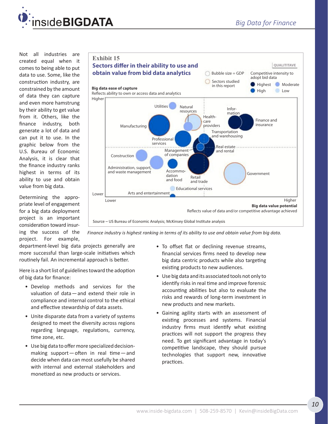

Not all industries are created equal when it comes to being able to put data to use. Some, like the construction industry, are constrained by the amount of data they can capture and even more hamstrung by their ability to get value from it. Others, like the finance industry, both generate a lot of data and can put it to use. In the graphic below from the U.S. Bureau of Economic Analysis, it is clear that the finance industry ranks highest in terms of its ability to use and obtain value from big data.

Determining the appropriate level of engagement for a big data deployment project is an important consideration toward insuring the success of the project. For example,



*Finance industry is highest ranking in terms of its ability to use and obtain value from big data.* 

department-level big data projects generally are more successful than large-scale initiatives which routinely fail. An incremental approach is better.

Here is a short list of guidelines toward the adoption of big data for finance:

- Develop methods and services for the valuation of data—and extend their role in compliance and internal control to the ethical and effective stewardship of data assets.
- Unite disparate data from a variety of systems designed to meet the diversity across regions regarding language, regulations, currency, time zone, etc.
- Use big data to offer more specialized decisionmaking support—often in real time—and decide when data can most usefully be shared with internal and external stakeholders and monetized as new products or services.
- To offset flat or declining revenue streams, financial services firms need to develop new big data centric products while also targeting existing products to new audiences.
- Use big data and its associated tools not only to identify risks in real time and improve forensic accounting abilities but also to evaluate the risks and rewards of long-term investment in new products and new markets.
- Gaining agility starts with an assessment of existing processes and systems. Financial industry firms must identify what existing practices will not support the progress they need. To get significant advantage in today's competitive landscape, they should pursue technologies that support new, innovative practices.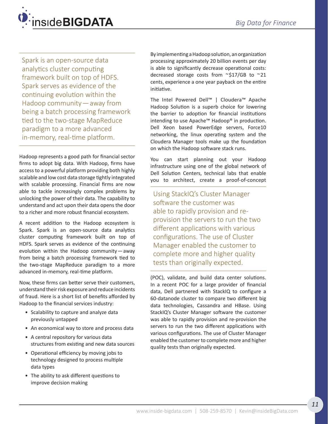

Spark is an open-source data analytics cluster computing framework built on top of HDFS. Spark serves as evidence of the continuing evolution within the Hadoop community—away from being a batch processing framework tied to the two-stage MapReduce paradigm to a more advanced in-memory, real-time platform.

Hadoop represents a good path for financial sector firms to adopt big data. With Hadoop, firms have access to a powerful platform providing both highly scalable and low cost data storage tightly integrated with scalable processing. Financial firms are now able to tackle increasingly complex problems by unlocking the power of their data. The capability to understand and act upon their data opens the door to a richer and more robust financial ecosystem.

A recent addition to the Hadoop ecosystem is Spark. Spark is an open-source data analytics cluster computing framework built on top of HDFS. Spark serves as evidence of the continuing evolution within the Hadoop community—away from being a batch processing framework tied to the two-stage MapReduce paradigm to a more advanced in-memory, real-time platform.

Now, these firms can better serve their customers, understand their risk exposure and reduce incidents of fraud. Here is a short list of benefits afforded by Hadoop to the financial services industry:

- Scalability to capture and analyze data previously untapped
- An economical way to store and process data
- A central repository for various data structures from existing and new data sources
- Operational efficiency by moving jobs to technology designed to process multiple data types
- The ability to ask different questions to improve decision making

By implementing a Hadoop solution, an organization processing approximately 20 billion events per day is able to significantly decrease operational costs: decreased storage costs from  $\sim$ \$17/GB to  $\sim$ 21 cents, experience a one year payback on the entire initiative.

The Intel Powered Dell™ | Cloudera™ Apache Hadoop Solution is a superb choice for lowering the barrier to adoption for financial institutions intending to use Apache™ Hadoop® in production. Dell Xeon based PowerEdge servers, Force10 networking, the linux operating system and the Cloudera Manager tools make up the foundation on which the Hadoop software stack runs.

You can start planning out your Hadoop infrastructure using one of the global network of Dell Solution Centers, technical labs that enable you to architect, create a proof-of-concept

Using StackIQ's Cluster Manager software the customer was able to rapidly provision and reprovision the servers to run the two different applications with various configurations. The use of Cluster Manager enabled the customer to complete more and higher quality tests than originally expected.

(POC), validate, and build data center solutions. In a recent POC for a large provider of financial data, Dell partnered with StackIQ to configure a 60-datanode cluster to compare two different big data technologies, Cassandra and HBase. Using StackIQ's Cluster Manager software the customer was able to rapidly provision and re-provision the servers to run the two different applications with various configurations. The use of Cluster Manager enabled the customer to complete more and higher quality tests than originally expected.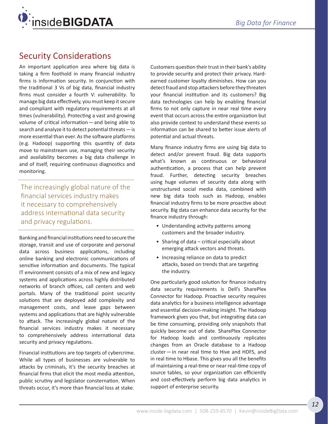<span id="page-11-0"></span>

# Security Considerations

An important application area where big data is taking a firm foothold in many financial industry firms is information security. In conjunction with the traditional 3 Vs of big data, financial industry firms must consider a fourth V: *vulnerability*. To manage big data effectively, you must keep it secure and compliant with regulatory requirements at all times (vulnerability). Protecting a vast and growing volume of critical information—and being able to search and analyze it to detect potential threats—is more essential than ever. As the software platforms (e.g. Hadoop) supporting this quantity of data move to mainstream use, managing their security and availability becomes a big data challenge in and of itself, requiring continuous diagnostics and monitoring.

The increasingly global nature of the financial services industry makes it necessary to comprehensively address international data security and privacy regulations.

Banking and financial institutions need to secure the storage, transit and use of corporate and personal data across business applications, including online banking and electronic communications of sensitive information and documents. The typical IT environment consists of a mix of new and legacy systems and applications across highly distributed networks of branch offices, call centers and web portals. Many of the traditional point security solutions that are deployed add complexity and management costs, and leave gaps between systems and applications that are highly vulnerable to attack. The increasingly global nature of the financial services industry makes it necessary to comprehensively address international data security and privacy regulations.

Financial institutions are top targets of cybercrime. While all types of businesses are vulnerable to attacks by criminals, it's the security breaches at financial firms that elicit the most media attention, public scrutiny and legislator consternation. When threats occur, it's more than financial loss at stake.

Customers question their trust in their bank's ability to provide security and protect their privacy. Hardearned customer loyalty diminishes. How can you detect fraud and stop attackers before they threaten your financial institution and its customers? Big data technologies can help by enabling financial firms to not only capture in near real time every event that occurs across the entire organization but also provide context to understand these events so information can be shared to better issue alerts of potential and actual threats.

Many finance industry firms are using big data to detect and/or prevent fraud. Big data supports what's known as continuous or behavioral authentication, a process that can help prevent fraud. Further, detecting security breaches using huge volumes of security data along with unstructured social media data, combined with new big data tools such as Hadoop, enables financial industry firms to be more proactive about security. Big data can enhance data security for the finance industry through:

- Understanding activity patterns among customers and the broader industry.
- Sharing of data critical especially about emerging attack vectors and threats.
- Increasing reliance on data to predict attacks, based on trends that are targeting the industry.

One particularly good solution for finance industry data security requirements is Dell's SharePlex Connector for Hadoop. Proactive security requires data analytics for a business intelligence advantage and essential decision-making insight. The Hadoop framework gives you that, but integrating data can be time consuming, providing only snapshots that quickly become out of date. SharePlex Connector for Hadoop loads and continuously replicates changes from an Oracle database to a Hadoop cluster—in near real time to Hive and HDFS, and in real time to Hbase. This gives you all the benefits of maintaining a real-time or near real-time copy of source tables, so your organization can efficiently and cost-effectively perform big data analytics in support of enterprise security.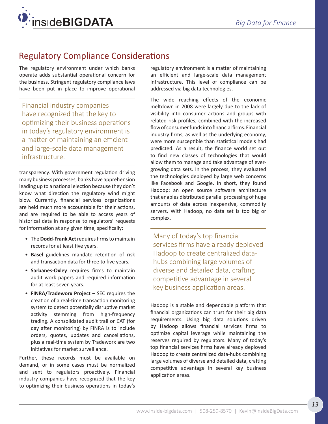<span id="page-12-0"></span>

# Regulatory Compliance Considerations

The regulatory environment under which banks operate adds substantial operational concern for the business. Stringent regulatory compliance laws have been put in place to improve operational

Financial industry companies have recognized that the key to optimizing their business operations in today's regulatory environment is a matter of maintaining an efficient and large-scale data management infrastructure.

transparency. With government regulation driving many business processes, banks have apprehension leading up to a national election because they don't know what direction the regulatory wind might blow. Currently, financial services organizations are held much more accountable for their actions, and are required to be able to access years of historical data in response to regulators' requests for information at any given time, specifically:

- The **Dodd-Frank Act** requires firms to maintain records for at least five years.
- **Basel** guidelines mandate retention of risk and transaction data for three to five years.
- **Sarbanes-Oxley** requires firms to maintain audit work papers and required information for at least seven years.
- **FINRA/Tradeworx Project –** SEC requires the creation of a real-time transaction monitoring system to detect potentially disruptive market activity stemming from high-frequency trading. A consolidated audit trail or CAT (for day after monitoring) by FINRA is to include orders, quotes, updates and cancellations, plus a real-time system by Tradeworx are two initiatives for market surveillance.

Further, these records must be available on demand, or in some cases must be normalized and sent to regulators proactively. Financial industry companies have recognized that the key to optimizing their business operations in today's regulatory environment is a matter of maintaining an efficient and large-scale data management infrastructure. This level of compliance can be addressed via big data technologies.

The wide reaching effects of the economic meltdown in 2008 were largely due to the lack of visibility into consumer actions and groups with related risk profiles, combined with the increased flow of consumer funds into financial firms. Financial industry firms, as well as the underlying economy, were more susceptible than statistical models had predicted. As a result, the finance world set out to find new classes of technologies that would allow them to manage and take advantage of evergrowing data sets. In the process, they evaluated the technologies deployed by large web concerns like Facebook and Google. In short, they found Hadoop: an open source software architecture that enables distributed parallel processing of huge amounts of data across inexpensive, commodity servers. With Hadoop, no data set is too big or complex.

Many of today's top financial services firms have already deployed Hadoop to create centralized datahubs combining large volumes of diverse and detailed data, crafting competitive advantage in several key business application areas.

Hadoop is a stable and dependable platform that financial organizations can trust for their big data requirements. Using big data solutions driven by Hadoop allows financial services firms to optimize capital leverage while maintaining the reserves required by regulators. Many of today's top financial services firms have already deployed Hadoop to create centralized data-hubs combining large volumes of diverse and detailed data, crafting competitive advantage in several key business application areas.